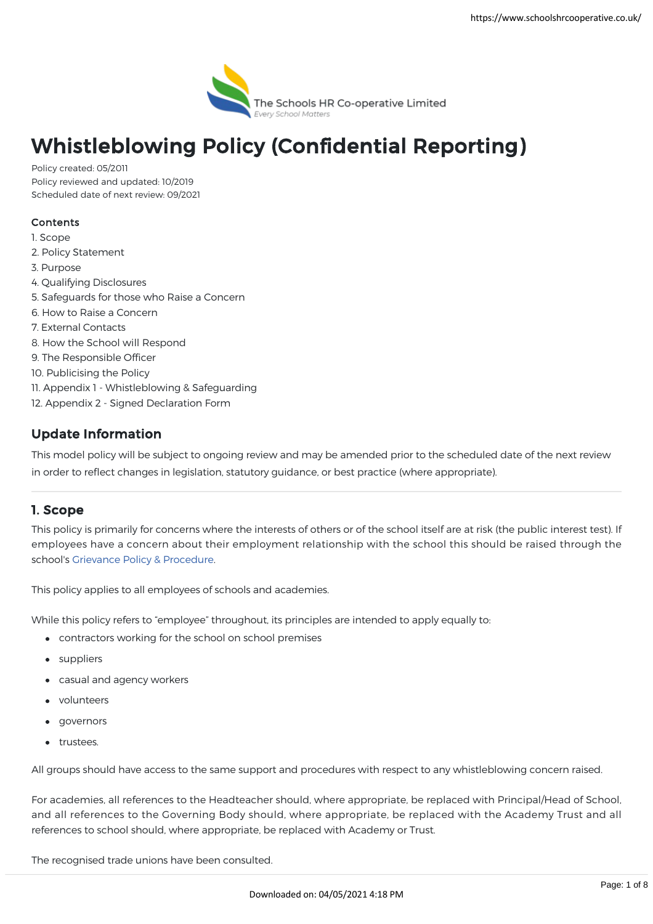

# Whistleblowing Policy (Confidential Reporting)

Policy created: 05/2011 Policy reviewed and updated: 10/2019 Scheduled date of next review: 09/2021

## Contents

- 1. Scope
- 2. Policy Statement
- 3. Purpose
- 4. Qualifying Disclosures
- 5. Safeguards for those who Raise a Concern
- 6. How to Raise a Concern
- 7. External Contacts
- 8. How the School will Respond
- 9. The Responsible Officer
- 10. Publicising the Policy
- 11. Appendix 1 Whistleblowing & Safeguarding
- 12. Appendix 2 Signed Declaration Form

# Update Information

This model policy will be subject to ongoing review and may be amended prior to the scheduled date of the next review in order to reflect changes in legislation, statutory guidance, or best practice (where appropriate).

## 1. Scope

This policy is primarily for concerns where the interests of others or of the school itself are at risk (the public interest test). If employees have a concern about their employment relationship with the school this should be raised through the school's [Grievance Policy & Procedure.](https://www.schoolshrcooperative.co.uk/school/PolicyDetails?id=40)

This policy applies to all employees of schools and academies.

While this policy refers to "employee" throughout, its principles are intended to apply equally to:

- contractors working for the school on school premises
- suppliers
- casual and agency workers
- volunteers
- governors
- **•** trustees.

All groups should have access to the same support and procedures with respect to any whistleblowing concern raised.

For academies, all references to the Headteacher should, where appropriate, be replaced with Principal/Head of School, and all references to the Governing Body should, where appropriate, be replaced with the Academy Trust and all references to school should, where appropriate, be replaced with Academy or Trust.

The recognised trade unions have been consulted.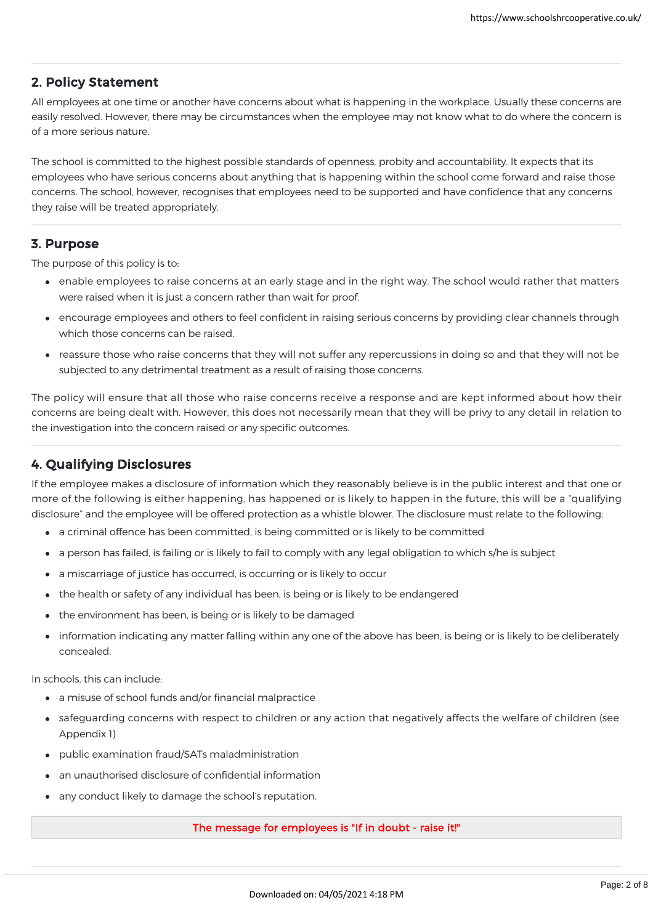## 2. Policy Statement

All employees at one time or another have concerns about what is happening in the workplace. Usually these concerns are easily resolved. However, there may be circumstances when the employee may not know what to do where the concern is of a more serious nature.

The school is committed to the highest possible standards of openness, probity and accountability. It expects that its employees who have serious concerns about anything that is happening within the school come forward and raise those concerns. The school, however, recognises that employees need to be supported and have confidence that any concerns they raise will be treated appropriately.

## 3. Purpose

The purpose of this policy is to:

- enable employees to raise concerns at an early stage and in the right way. The school would rather that matters were raised when it is just a concern rather than wait for proof.
- encourage employees and others to feel confident in raising serious concerns by providing clear channels through which those concerns can be raised.
- reassure those who raise concerns that they will not suffer any repercussions in doing so and that they will not be subjected to any detrimental treatment as a result of raising those concerns.

The policy will ensure that all those who raise concerns receive a response and are kept informed about how their concerns are being dealt with. However, this does not necessarily mean that they will be privy to any detail in relation to the investigation into the concern raised or any specific outcomes.

# 4. Qualifying Disclosures

If the employee makes a disclosure of information which they reasonably believe is in the public interest and that one or more of the following is either happening, has happened or is likely to happen in the future, this will be a "qualifying disclosure" and the employee will be offered protection as a whistle blower. The disclosure must relate to the following:

- a criminal offence has been committed, is being committed or is likely to be committed
- a person has failed, is failing or is likely to fail to comply with any legal obligation to which s/he is subject
- a miscarriage of justice has occurred, is occurring or is likely to occur
- the health or safety of any individual has been, is being or is likely to be endangered
- the environment has been, is being or is likely to be damaged
- information indicating any matter falling within any one of the above has been, is being or is likely to be deliberately concealed.

In schools, this can include:

- a misuse of school funds and/or financial malpractice
- safeguarding concerns with respect to children or any action that negatively affects the welfare of children (see Appendix 1)
- public examination fraud/SATs maladministration
- an unauthorised disclosure of confidential information
- any conduct likely to damage the school's reputation.

#### The message for employees is "If in doubt - raise it!"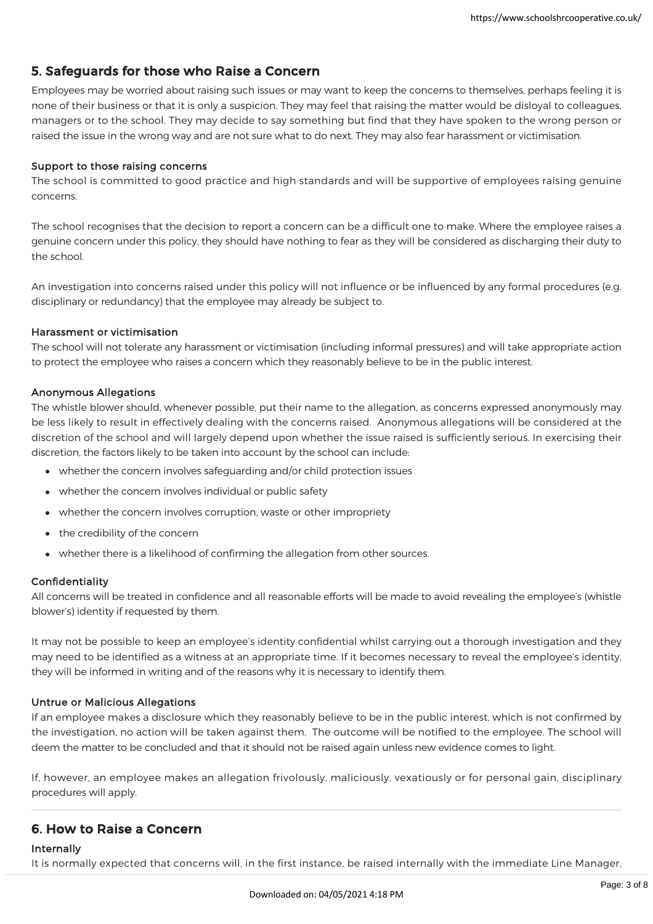## 5. Safeguards for those who Raise a Concern

Employees may be worried about raising such issues or may want to keep the concerns to themselves, perhaps feeling it is none of their business or that it is only a suspicion. They may feel that raising the matter would be disloyal to colleagues, managers or to the school. They may decide to say something but find that they have spoken to the wrong person or raised the issue in the wrong way and are not sure what to do next. They may also fear harassment or victimisation.

#### Support to those raising concerns

The school is committed to good practice and high standards and will be supportive of employees raising genuine concerns.

The school recognises that the decision to report a concern can be a difficult one to make. Where the employee raises a genuine concern under this policy, they should have nothing to fear as they will be considered as discharging their duty to the school.

An investigation into concerns raised under this policy will not influence or be influenced by any formal procedures (e.g. disciplinary or redundancy) that the employee may already be subject to.

#### Harassment or victimisation

The school will not tolerate any harassment or victimisation (including informal pressures) and will take appropriate action to protect the employee who raises a concern which they reasonably believe to be in the public interest.

#### Anonymous Allegations

The whistle blower should, whenever possible, put their name to the allegation, as concerns expressed anonymously may be less likely to result in effectively dealing with the concerns raised. Anonymous allegations will be considered at the discretion of the school and will largely depend upon whether the issue raised is sufficiently serious. In exercising their discretion, the factors likely to be taken into account by the school can include:

- whether the concern involves safeguarding and/or child protection issues
- whether the concern involves individual or public safety
- whether the concern involves corruption, waste or other impropriety
- the credibility of the concern
- whether there is a likelihood of confirming the allegation from other sources.

#### Confidentiality

All concerns will be treated in confidence and all reasonable efforts will be made to avoid revealing the employee's (whistle blower's) identity if requested by them.

It may not be possible to keep an employee's identity confidential whilst carrying out a thorough investigation and they may need to be identified as a witness at an appropriate time. If it becomes necessary to reveal the employee's identity, they will be informed in writing and of the reasons why it is necessary to identify them.

#### Untrue or Malicious Allegations

If an employee makes a disclosure which they reasonably believe to be in the public interest, which is not confirmed by the investigation, no action will be taken against them. The outcome will be notified to the employee. The school will deem the matter to be concluded and that it should not be raised again unless new evidence comes to light.

If, however, an employee makes an allegation frivolously, maliciously, vexatiously or for personal gain, disciplinary procedures will apply.

## 6. How to Raise a Concern

#### Internally

It is normally expected that concerns will, in the first instance, be raised internally with the immediate Line Manager,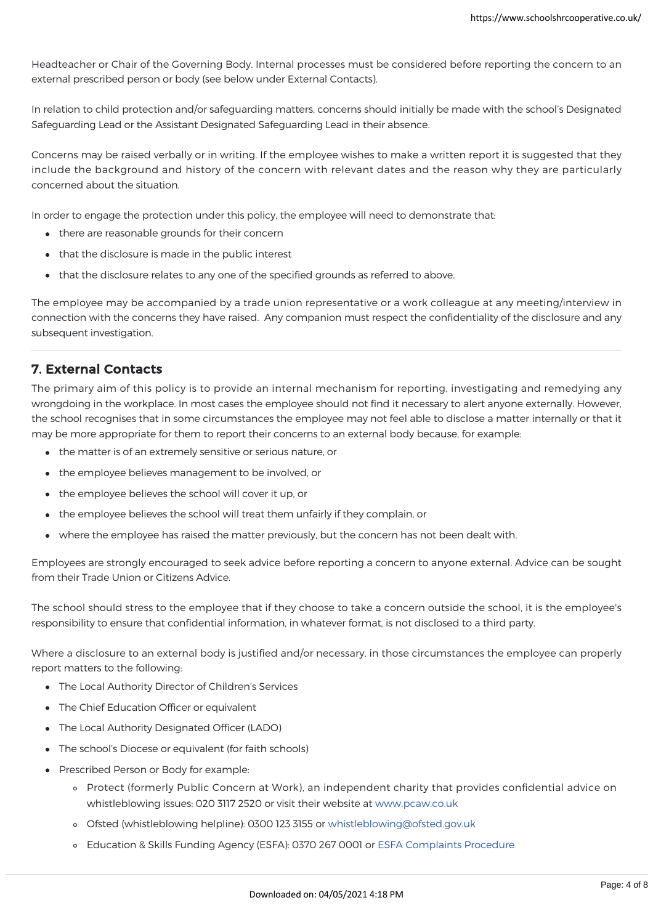It is normally expected that concerns will, in the first instance, be raised internally with the immediate Line Manager, Headteacher or Chair of the Governing Body. Internal processes must be considered before reporting the concern to an external prescribed person or body (see below under External Contacts).

In relation to child protection and/or safeguarding matters, concerns should initially be made with the school's Designated Safeguarding Lead or the Assistant Designated Safeguarding Lead in their absence.

Concerns may be raised verbally or in writing. If the employee wishes to make a written report it is suggested that they include the background and history of the concern with relevant dates and the reason why they are particularly concerned about the situation.

In order to engage the protection under this policy, the employee will need to demonstrate that:

- there are reasonable grounds for their concern
- that the disclosure is made in the public interest
- that the disclosure relates to any one of the specified grounds as referred to above.

The employee may be accompanied by a trade union representative or a work colleague at any meeting/interview in connection with the concerns they have raised. Any companion must respect the confidentiality of the disclosure and any subsequent investigation.

## 7. External Contacts

The primary aim of this policy is to provide an internal mechanism for reporting, investigating and remedying any wrongdoing in the workplace. In most cases the employee should not find it necessary to alert anyone externally. However, the school recognises that in some circumstances the employee may not feel able to disclose a matter internally or that it may be more appropriate for them to report their concerns to an external body because, for example:

- the matter is of an extremely sensitive or serious nature, or
- the employee believes management to be involved, or
- the employee believes the school will cover it up, or
- the employee believes the school will treat them unfairly if they complain, or
- where the employee has raised the matter previously, but the concern has not been dealt with.

Employees are strongly encouraged to seek advice before reporting a concern to anyone external. Advice can be sought from their Trade Union or Citizens Advice.

The school should stress to the employee that if they choose to take a concern outside the school, it is the employee's responsibility to ensure that confidential information, in whatever format, is not disclosed to a third party.

Where a disclosure to an external body is justified and/or necessary, in those circumstances the employee can properly report matters to the following:

- The Local Authority Director of Children's Services
- The Chief Education Officer or equivalent
- The Local Authority Designated Officer (LADO)
- The school's Diocese or equivalent (for faith schools)
- Prescribed Person or Body for example:
	- Protect (formerly Public Concern at Work), an independent charity that provides confidential advice on whistleblowing issues: 020 3117 2520 or visit their website at [www.pcaw.co.uk](https://www.pcaw.co.uk/)
	- Ofsted (whistleblowing helpline): 0300 123 3155 or [whistleblowing@ofsted.gov.uk](mailto:whistleblowing@ofsted.gov.uk)
	- Education & Skills Funding Agency (ESFA): 0370 267 0001 or [ESFA Complaints Procedure](https://www.gov.uk/government/organisations/education-and-skills-funding-agency/about/complaints-procedure)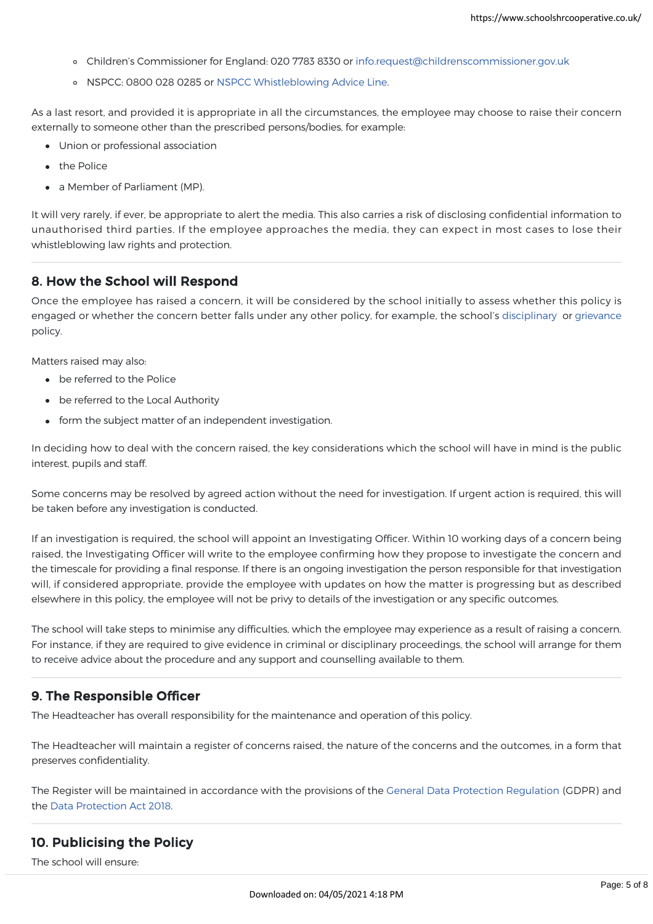- Children's Commissioner for England: 020 7783 8330 or [info.request@childrenscommissioner.gov.uk](mailto:info.request@childrenscommissioner.gov.uk)
- o NSPCC: 0800 028 0285 or [NSPCC Whistleblowing Advice Line.](https://www.nspcc.org.uk/keeping-children-safe/reporting-abuse/dedicated-helplines/whistleblowing-advice-line/)

As a last resort, and provided it is appropriate in all the circumstances, the employee may choose to raise their concern externally to someone other than the prescribed persons/bodies, for example:

- Union or professional association
- the Police
- a Member of Parliament (MP).

It will very rarely, if ever, be appropriate to alert the media. This also carries a risk of disclosing confidential information to unauthorised third parties. If the employee approaches the media, they can expect in most cases to lose their whistleblowing law rights and protection.

#### 8. How the School will Respond

Once the employee has raised a concern, it will be considered by the school initially to assess whether this policy is engaged or whether the concern better falls under any other policy, for example, the school's [disciplinary](https://www.schoolshrcooperative.co.uk/school/PolicyDetails?id=57) or [grievance](https://www.schoolshrcooperative.co.uk/school/PolicyDetails?id=40) policy.

Matters raised may also:

- be referred to the Police
- be referred to the Local Authority
- form the subject matter of an independent investigation.

In deciding how to deal with the concern raised, the key considerations which the school will have in mind is the public interest, pupils and staff.

Some concerns may be resolved by agreed action without the need for investigation. If urgent action is required, this will be taken before any investigation is conducted.

If an investigation is required, the school will appoint an Investigating Officer. Within 10 working days of a concern being raised, the Investigating Officer will write to the employee confirming how they propose to investigate the concern and the timescale for providing a final response. If there is an ongoing investigation the person responsible for that investigation will, if considered appropriate, provide the employee with updates on how the matter is progressing but as described elsewhere in this policy, the employee will not be privy to details of the investigation or any specific outcomes.

The school will take steps to minimise any difficulties, which the employee may experience as a result of raising a concern. For instance, if they are required to give evidence in criminal or disciplinary proceedings, the school will arrange for them to receive advice about the procedure and any support and counselling available to them.

## 9. The Responsible Officer

The Headteacher has overall responsibility for the maintenance and operation of this policy.

The Headteacher will maintain a register of concerns raised, the nature of the concerns and the outcomes, in a form that preserves confidentiality.

The Register will be maintained in accordance with the provisions of the [General Data Protection Regulation](https://eur-lex.europa.eu/legal-content/EN/TXT/?uri=uriserv:OJ.L_.2016.119.01.0001.01.ENG) (GDPR) and the [Data Protection Act 2018.](http://www.legislation.gov.uk/ukpga/2018/12/contents/enacted)

## 10. Publicising the Policy

The school will ensure: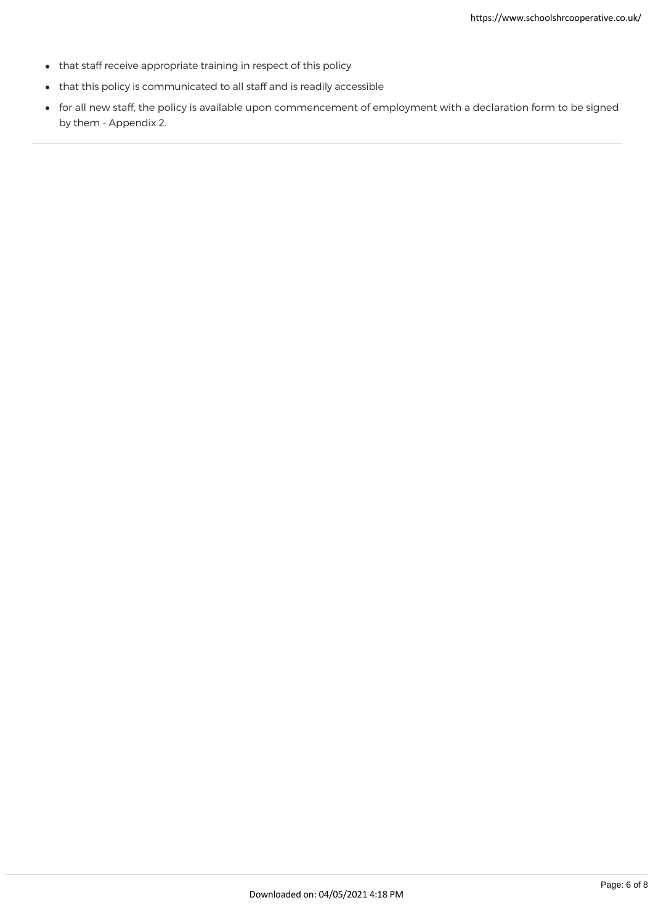- that staff receive appropriate training in respect of this policy
- that this policy is communicated to all staff and is readily accessible
- for all new staff, the policy is available upon commencement of employment with a declaration form to be signed by them - Appendix 2.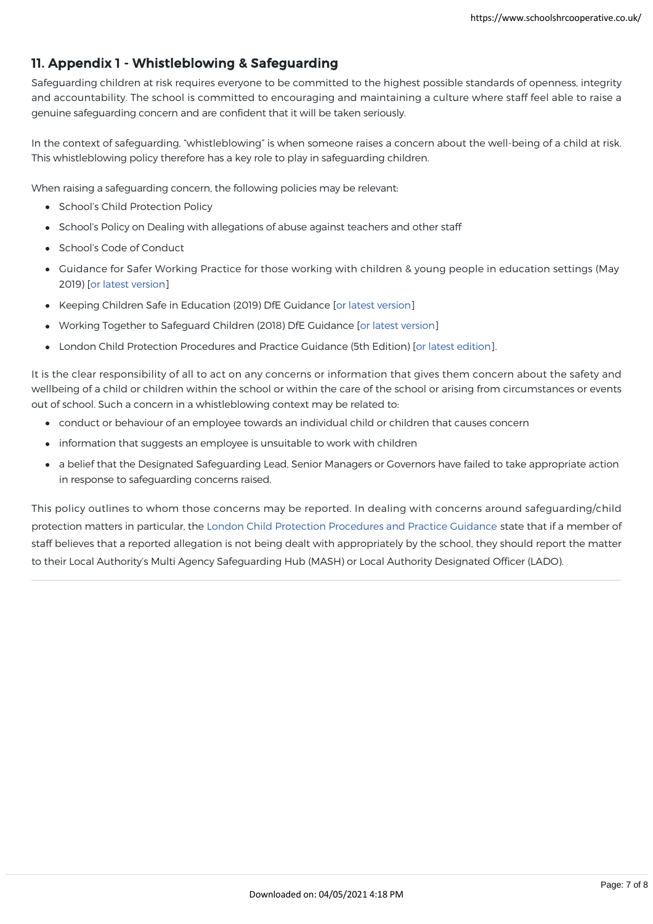# 11. Appendix 1 - Whistleblowing & Safeguarding

Safeguarding children at risk requires everyone to be committed to the highest possible standards of openness, integrity and accountability. The school is committed to encouraging and maintaining a culture where staff feel able to raise a genuine safeguarding concern and are confident that it will be taken seriously.

In the context of safeguarding, "whistleblowing" is when someone raises a concern about the well-being of a child at risk. This whistleblowing policy therefore has a key role to play in safeguarding children.

When raising a safeguarding concern, the following policies may be relevant:

- School's Child Protection Policy
- School's Policy on Dealing with allegations of abuse against teachers and other staff
- School's Code of Conduct
- Guidance for Safer Working Practice for those working with children & young people in education settings (May 2019) [\[or latest version\]](https://www.saferrecruitmentconsortium.org/)
- Keeping Children Safe in Education (2019) DfE Guidance [\[or latest version\]](https://www.gov.uk/government/publications/keeping-children-safe-in-education--2)
- Working Together to Safeguard Children (2018) DfE Guidance [\[or latest version](https://www.gov.uk/government/publications/working-together-to-safeguard-children--2)]
- London Child Protection Procedures and Practice Guidance (5th Edition) [\[or latest edition](https://www.londoncp.co.uk/)].

It is the clear responsibility of all to act on any concerns or information that gives them concern about the safety and wellbeing of a child or children within the school or within the care of the school or arising from circumstances or events out of school. Such a concern in a whistleblowing context may be related to:

- conduct or behaviour of an employee towards an individual child or children that causes concern
- information that suggests an employee is unsuitable to work with children
- a belief that the Designated Safeguarding Lead, Senior Managers or Governors have failed to take appropriate action in response to safeguarding concerns raised.

This policy outlines to whom those concerns may be reported. In dealing with concerns around safeguarding/child protection matters in particular, the [London Child Protection Procedures and Practice Guidance](https://www.londoncp.co.uk/) state that if a member of staff believes that a reported allegation is not being dealt with appropriately by the school, they should report the matter to their Local Authority's Multi Agency Safeguarding Hub (MASH) or Local Authority Designated Officer (LADO).